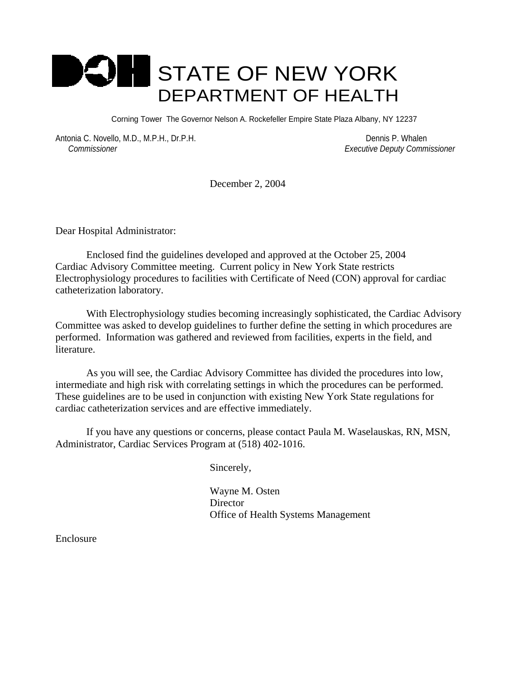

Corning Tower The Governor Nelson A. Rockefeller Empire State Plaza Albany, NY 12237

Antonia C. Novello, M.D., M.P.H., Dr.P.H. Dennis P. Whalen  *Commissioner Executive Deputy Commissioner*

December 2, 2004

Dear Hospital Administrator:

 Enclosed find the guidelines developed and approved at the October 25, 2004 Cardiac Advisory Committee meeting. Current policy in New York State restricts Electrophysiology procedures to facilities with Certificate of Need (CON) approval for cardiac catheterization laboratory.

With Electrophysiology studies becoming increasingly sophisticated, the Cardiac Advisory Committee was asked to develop guidelines to further define the setting in which procedures are performed. Information was gathered and reviewed from facilities, experts in the field, and literature.

As you will see, the Cardiac Advisory Committee has divided the procedures into low, intermediate and high risk with correlating settings in which the procedures can be performed. These guidelines are to be used in conjunction with existing New York State regulations for cardiac catheterization services and are effective immediately.

If you have any questions or concerns, please contact Paula M. Waselauskas, RN, MSN, Administrator, Cardiac Services Program at (518) 402-1016.

Sincerely,

 Wayne M. Osten Director Office of Health Systems Management

Enclosure